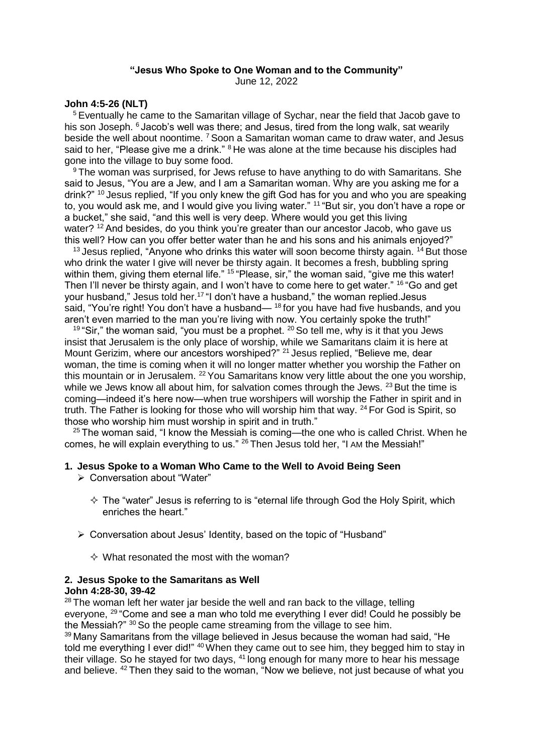## **"Jesus Who Spoke to One Woman and to the Community"**

June 12, 2022

#### **John 4:5-26 (NLT)**

<sup>5</sup> Eventually he came to the Samaritan village of Sychar, near the field that Jacob gave to his son Joseph. <sup>6</sup> Jacob's well was there; and Jesus, tired from the long walk, sat wearily beside the well about noontime. <sup>7</sup> Soon a Samaritan woman came to draw water, and Jesus said to her, "Please give me a drink." <sup>8</sup> He was alone at the time because his disciples had gone into the village to buy some food.

<sup>9</sup> The woman was surprised, for Jews refuse to have anything to do with Samaritans. She said to Jesus, "You are a Jew, and I am a Samaritan woman. Why are you asking me for a drink?" <sup>10</sup> Jesus replied, "If you only knew the gift God has for you and who you are speaking to, you would ask me, and I would give you living water." <sup>11</sup> "But sir, you don't have a rope or a bucket," she said, "and this well is very deep. Where would you get this living water?  $12$  And besides, do you think you're greater than our ancestor Jacob, who gave us this well? How can you offer better water than he and his sons and his animals enjoyed?"

 $13$  Jesus replied, "Anyone who drinks this water will soon become thirsty again.  $14$  But those who drink the water I give will never be thirsty again. It becomes a fresh, bubbling spring within them, giving them eternal life." <sup>15</sup> "Please, sir," the woman said, "give me this water! Then I'll never be thirsty again, and I won't have to come here to get water." <sup>16</sup> "Go and get your husband," Jesus told her.<sup>17</sup> "I don't have a husband," the woman replied.Jesus said, "You're right! You don't have a husband— <sup>18</sup> for you have had five husbands, and you aren't even married to the man you're living with now. You certainly spoke the truth!"

<sup>19</sup> "Sir," the woman said, "you must be a prophet.  $20$  So tell me, why is it that you Jews insist that Jerusalem is the only place of worship, while we Samaritans claim it is here at Mount Gerizim, where our ancestors worshiped?" <sup>21</sup> Jesus replied, "Believe me, dear woman, the time is coming when it will no longer matter whether you worship the Father on this mountain or in Jerusalem. <sup>22</sup> You Samaritans know very little about the one you worship, while we Jews know all about him, for salvation comes through the Jews. <sup>23</sup> But the time is coming—indeed it's here now—when true worshipers will worship the Father in spirit and in truth. The Father is looking for those who will worship him that way. <sup>24</sup> For God is Spirit, so those who worship him must worship in spirit and in truth."

 $25$  The woman said, "I know the Messiah is coming—the one who is called Christ. When he comes, he will explain everything to us." <sup>26</sup> Then Jesus told her, "I AM the Messiah!"

#### **1. Jesus Spoke to a Woman Who Came to the Well to Avoid Being Seen**

- Conversation about "Water"
	- $\Diamond$  The "water" Jesus is referring to is "eternal life through God the Holy Spirit, which enriches the heart."
- Conversation about Jesus' Identity, based on the topic of "Husband"
	- $\Diamond$  What resonated the most with the woman?

# **2. Jesus Spoke to the Samaritans as Well**

# **John 4:28-30, 39-42**

<sup>28</sup> The woman left her water jar beside the well and ran back to the village, telling everyone, <sup>29</sup> "Come and see a man who told me everything I ever did! Could he possibly be the Messiah?" 30 So the people came streaming from the village to see him.

<sup>39</sup> Many Samaritans from the village believed in Jesus because the woman had said, "He told me everything I ever did!" <sup>40</sup> When they came out to see him, they begged him to stay in their village. So he stayed for two days, <sup>41</sup> long enough for many more to hear his message and believe. <sup>42</sup> Then they said to the woman, "Now we believe, not just because of what you